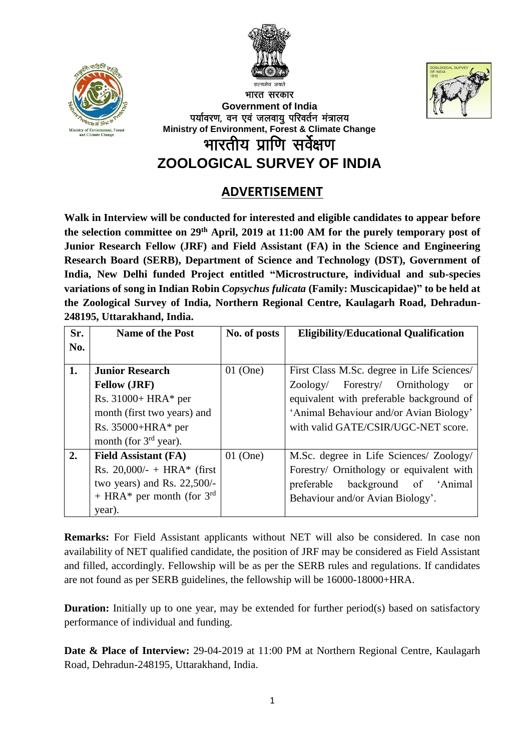





भारत सरकार **Government of India** पर्यावरण, वन एवं जलवायु परिवर्तन मंत्रालय **Ministry of Environment, Forest & Climate Change** भारतीय प्राणि सर्वेक्षण

**ZOOLOGICAL SURVEY OF INDIA**

## **ADVERTISEMENT**

**Walk in Interview will be conducted for interested and eligible candidates to appear before the selection committee on 29th April, 2019 at 11:00 AM for the purely temporary post of Junior Research Fellow (JRF) and Field Assistant (FA) in the Science and Engineering Research Board (SERB), Department of Science and Technology (DST), Government of India, New Delhi funded Project entitled "Microstructure, individual and sub-species variations of song in Indian Robin** *Copsychus fulicata* **(Family: Muscicapidae)" to be held at the Zoological Survey of India, Northern Regional Centre, Kaulagarh Road, Dehradun-248195, Uttarakhand, India.**

| Sr. | <b>Name of the Post</b>               | No. of posts | <b>Eligibility/Educational Qualification</b> |  |
|-----|---------------------------------------|--------------|----------------------------------------------|--|
| No. |                                       |              |                                              |  |
| 1.  | <b>Junior Research</b>                | $01$ (One)   | First Class M.Sc. degree in Life Sciences/   |  |
|     | <b>Fellow (JRF)</b>                   |              | Ornithology<br>Forestry/<br>Zoology/<br>or   |  |
|     | Rs. $31000+HRA*$ per                  |              | equivalent with preferable background of     |  |
|     | month (first two years) and           |              | 'Animal Behaviour and/or Avian Biology'      |  |
|     | Rs. $35000 + HRA*$ per                |              | with valid GATE/CSIR/UGC-NET score.          |  |
|     | month (for $3rd$ year).               |              |                                              |  |
| 2.  | <b>Field Assistant (FA)</b>           | $01$ (One)   | M.Sc. degree in Life Sciences/ Zoology/      |  |
|     | Rs. 20,000/- + HRA* (first            |              | Forestry/ Ornithology or equivalent with     |  |
|     | two years) and Rs. $22,500/-$         |              | preferable background of 'Animal             |  |
|     | + HRA* per month (for $3^{\text{rd}}$ |              | Behaviour and/or Avian Biology'.             |  |
|     | year).                                |              |                                              |  |

**Remarks:** For Field Assistant applicants without NET will also be considered. In case non availability of NET qualified candidate, the position of JRF may be considered as Field Assistant and filled, accordingly. Fellowship will be as per the SERB rules and regulations. If candidates are not found as per SERB guidelines, the fellowship will be 16000-18000+HRA.

**Duration:** Initially up to one year, may be extended for further period(s) based on satisfactory performance of individual and funding.

**Date & Place of Interview:** 29-04-2019 at 11:00 PM at Northern Regional Centre, Kaulagarh Road, Dehradun-248195, Uttarakhand, India.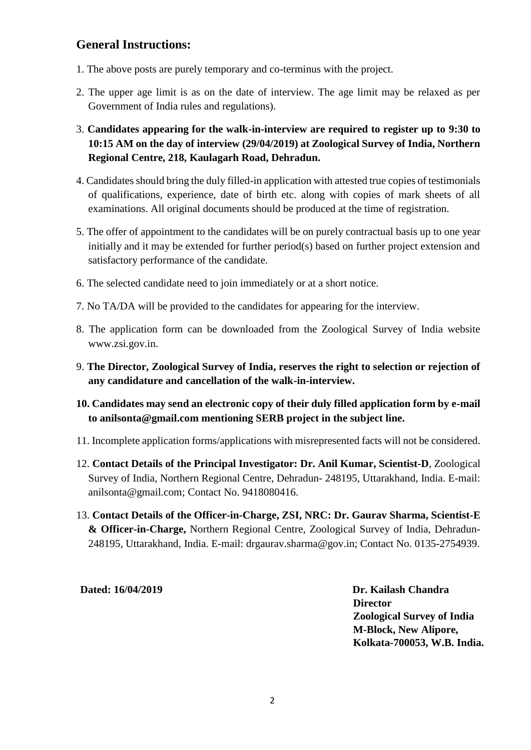## **General Instructions:**

- 1. The above posts are purely temporary and co-terminus with the project.
- 2. The upper age limit is as on the date of interview. The age limit may be relaxed as per Government of India rules and regulations).
- 3. **Candidates appearing for the walk-in-interview are required to register up to 9:30 to 10:15 AM on the day of interview (29/04/2019) at Zoological Survey of India, Northern Regional Centre, 218, Kaulagarh Road, Dehradun.**
- 4. Candidates should bring the duly filled-in application with attested true copies of testimonials of qualifications, experience, date of birth etc. along with copies of mark sheets of all examinations. All original documents should be produced at the time of registration.
- 5. The offer of appointment to the candidates will be on purely contractual basis up to one year initially and it may be extended for further period(s) based on further project extension and satisfactory performance of the candidate.
- 6. The selected candidate need to join immediately or at a short notice.
- 7. No TA/DA will be provided to the candidates for appearing for the interview.
- 8. The application form can be downloaded from the Zoological Survey of India website www.zsi.gov.in.
- 9. **The Director, Zoological Survey of India, reserves the right to selection or rejection of any candidature and cancellation of the walk-in-interview.**
- **10. Candidates may send an electronic copy of their duly filled application form by e-mail to anilsonta@gmail.com mentioning SERB project in the subject line.**
- 11. Incomplete application forms/applications with misrepresented facts will not be considered.
- 12. **Contact Details of the Principal Investigator: Dr. Anil Kumar, Scientist-D**, Zoological Survey of India, Northern Regional Centre, Dehradun- 248195, Uttarakhand, India. E-mail: anilsonta@gmail.com; Contact No. 9418080416.
- 13. **Contact Details of the Officer-in-Charge, ZSI, NRC: Dr. Gaurav Sharma, Scientist-E & Officer-in-Charge,** Northern Regional Centre, Zoological Survey of India, Dehradun-248195, Uttarakhand, India. E-mail: [drgaurav.sharma@gov.in;](mailto:drgaurav.sharma@gov.in) Contact No. 0135-2754939.

 **Dated: 16/04/2019 Dr. Kailash Chandra Director Zoological Survey of India M-Block, New Alipore, Kolkata-700053, W.B. India.**